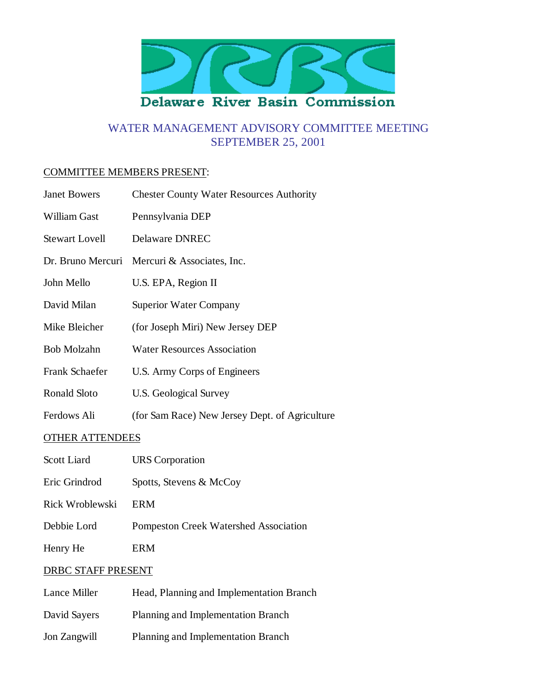

# WATER MANAGEMENT ADVISORY COMMITTEE MEETING SEPTEMBER 25, 2001

#### COMMITTEE MEMBERS PRESENT:

| <b>Janet Bowers</b>    | <b>Chester County Water Resources Authority</b> |
|------------------------|-------------------------------------------------|
| William Gast           | Pennsylvania DEP                                |
| <b>Stewart Lovell</b>  | Delaware DNREC                                  |
| Dr. Bruno Mercuri      | Mercuri & Associates, Inc.                      |
| John Mello             | U.S. EPA, Region II                             |
| David Milan            | <b>Superior Water Company</b>                   |
| Mike Bleicher          | (for Joseph Miri) New Jersey DEP                |
| <b>Bob Molzahn</b>     | <b>Water Resources Association</b>              |
| Frank Schaefer         | U.S. Army Corps of Engineers                    |
| <b>Ronald Sloto</b>    | U.S. Geological Survey                          |
| Ferdows Ali            | (for Sam Race) New Jersey Dept. of Agriculture  |
| <b>OTHER ATTENDEES</b> |                                                 |
| Scott Liard            | URS Corporation                                 |

- Eric Grindrod Spotts, Stevens & McCoy
- Rick Wroblewski ERM
- Debbie Lord Pompeston Creek Watershed Association
- Henry He ERM

# DRBC STAFF PRESENT

Lance Miller Head, Planning and Implementation Branch David Sayers Planning and Implementation Branch Jon Zangwill Planning and Implementation Branch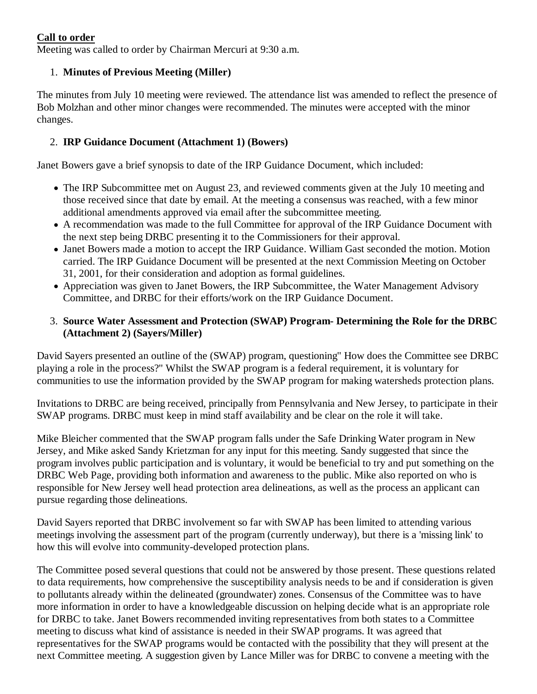#### **Call to order**

Meeting was called to order by Chairman Mercuri at 9:30 a.m.

# 1. **Minutes of Previous Meeting (Miller)**

The minutes from July 10 meeting were reviewed. The attendance list was amended to reflect the presence of Bob Molzhan and other minor changes were recommended. The minutes were accepted with the minor changes.

### 2. **IRP Guidance Document (Attachment 1) (Bowers)**

Janet Bowers gave a brief synopsis to date of the IRP Guidance Document, which included:

- The IRP Subcommittee met on August 23, and reviewed comments given at the July 10 meeting and those received since that date by email. At the meeting a consensus was reached, with a few minor additional amendments approved via email after the subcommittee meeting.
- A recommendation was made to the full Committee for approval of the IRP Guidance Document with the next step being DRBC presenting it to the Commissioners for their approval.
- Janet Bowers made a motion to accept the IRP Guidance. William Gast seconded the motion. Motion carried. The IRP Guidance Document will be presented at the next Commission Meeting on October 31, 2001, for their consideration and adoption as formal guidelines.
- Appreciation was given to Janet Bowers, the IRP Subcommittee, the Water Management Advisory Committee, and DRBC for their efforts/work on the IRP Guidance Document.

### **Source Water Assessment and Protection (SWAP) Program- Determining the Role for the DRBC** 3. **(Attachment 2) (Sayers/Miller)**

David Sayers presented an outline of the (SWAP) program, questioning" How does the Committee see DRBC playing a role in the process?" Whilst the SWAP program is a federal requirement, it is voluntary for communities to use the information provided by the SWAP program for making watersheds protection plans.

Invitations to DRBC are being received, principally from Pennsylvania and New Jersey, to participate in their SWAP programs. DRBC must keep in mind staff availability and be clear on the role it will take.

Mike Bleicher commented that the SWAP program falls under the Safe Drinking Water program in New Jersey, and Mike asked Sandy Krietzman for any input for this meeting. Sandy suggested that since the program involves public participation and is voluntary, it would be beneficial to try and put something on the DRBC Web Page, providing both information and awareness to the public. Mike also reported on who is responsible for New Jersey well head protection area delineations, as well as the process an applicant can pursue regarding those delineations.

David Sayers reported that DRBC involvement so far with SWAP has been limited to attending various meetings involving the assessment part of the program (currently underway), but there is a 'missing link' to how this will evolve into community-developed protection plans.

The Committee posed several questions that could not be answered by those present. These questions related to data requirements, how comprehensive the susceptibility analysis needs to be and if consideration is given to pollutants already within the delineated (groundwater) zones. Consensus of the Committee was to have more information in order to have a knowledgeable discussion on helping decide what is an appropriate role for DRBC to take. Janet Bowers recommended inviting representatives from both states to a Committee meeting to discuss what kind of assistance is needed in their SWAP programs. It was agreed that representatives for the SWAP programs would be contacted with the possibility that they will present at the next Committee meeting. A suggestion given by Lance Miller was for DRBC to convene a meeting with the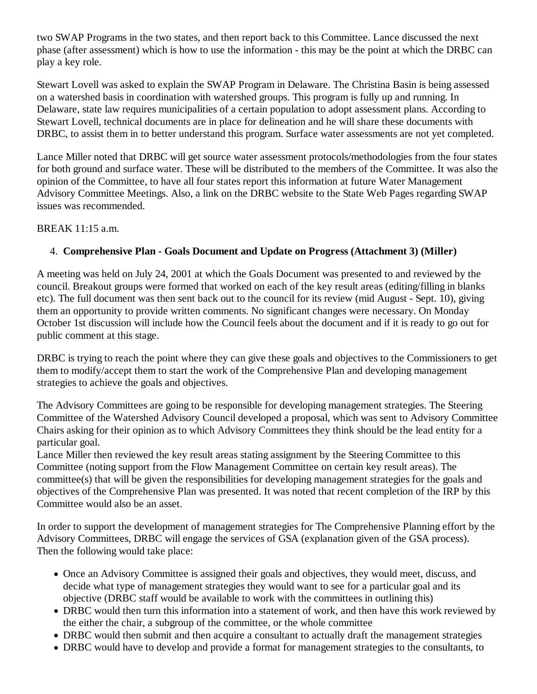two SWAP Programs in the two states, and then report back to this Committee. Lance discussed the next phase (after assessment) which is how to use the information - this may be the point at which the DRBC can play a key role.

Stewart Lovell was asked to explain the SWAP Program in Delaware. The Christina Basin is being assessed on a watershed basis in coordination with watershed groups. This program is fully up and running. In Delaware, state law requires municipalities of a certain population to adopt assessment plans. According to Stewart Lovell, technical documents are in place for delineation and he will share these documents with DRBC, to assist them in to better understand this program. Surface water assessments are not yet completed.

Lance Miller noted that DRBC will get source water assessment protocols/methodologies from the four states for both ground and surface water. These will be distributed to the members of the Committee. It was also the opinion of the Committee, to have all four states report this information at future Water Management Advisory Committee Meetings. Also, a link on the DRBC website to the State Web Pages regarding SWAP issues was recommended.

#### BREAK 11:15 a.m.

### 4. **Comprehensive Plan - Goals Document and Update on Progress (Attachment 3) (Miller)**

A meeting was held on July 24, 2001 at which the Goals Document was presented to and reviewed by the council. Breakout groups were formed that worked on each of the key result areas (editing/filling in blanks etc). The full document was then sent back out to the council for its review (mid August - Sept. 10), giving them an opportunity to provide written comments. No significant changes were necessary. On Monday October 1st discussion will include how the Council feels about the document and if it is ready to go out for public comment at this stage.

DRBC is trying to reach the point where they can give these goals and objectives to the Commissioners to get them to modify/accept them to start the work of the Comprehensive Plan and developing management strategies to achieve the goals and objectives.

The Advisory Committees are going to be responsible for developing management strategies. The Steering Committee of the Watershed Advisory Council developed a proposal, which was sent to Advisory Committee Chairs asking for their opinion as to which Advisory Committees they think should be the lead entity for a particular goal.

Lance Miller then reviewed the key result areas stating assignment by the Steering Committee to this Committee (noting support from the Flow Management Committee on certain key result areas). The committee(s) that will be given the responsibilities for developing management strategies for the goals and objectives of the Comprehensive Plan was presented. It was noted that recent completion of the IRP by this Committee would also be an asset.

In order to support the development of management strategies for The Comprehensive Planning effort by the Advisory Committees, DRBC will engage the services of GSA (explanation given of the GSA process). Then the following would take place:

- Once an Advisory Committee is assigned their goals and objectives, they would meet, discuss, and decide what type of management strategies they would want to see for a particular goal and its objective (DRBC staff would be available to work with the committees in outlining this)
- DRBC would then turn this information into a statement of work, and then have this work reviewed by the either the chair, a subgroup of the committee, or the whole committee
- DRBC would then submit and then acquire a consultant to actually draft the management strategies
- DRBC would have to develop and provide a format for management strategies to the consultants, to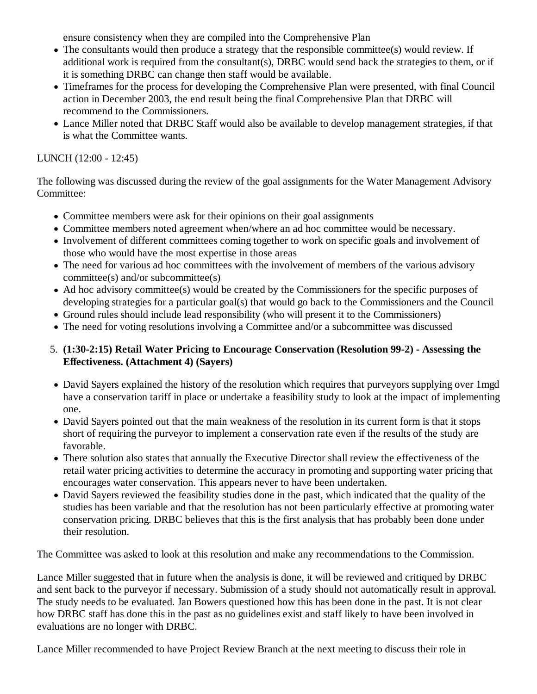ensure consistency when they are compiled into the Comprehensive Plan

- The consultants would then produce a strategy that the responsible committee(s) would review. If additional work is required from the consultant(s), DRBC would send back the strategies to them, or if it is something DRBC can change then staff would be available.
- Timeframes for the process for developing the Comprehensive Plan were presented, with final Council action in December 2003, the end result being the final Comprehensive Plan that DRBC will recommend to the Commissioners.
- Lance Miller noted that DRBC Staff would also be available to develop management strategies, if that is what the Committee wants.

## LUNCH (12:00 - 12:45)

The following was discussed during the review of the goal assignments for the Water Management Advisory Committee:

- Committee members were ask for their opinions on their goal assignments
- Committee members noted agreement when/where an ad hoc committee would be necessary.
- Involvement of different committees coming together to work on specific goals and involvement of those who would have the most expertise in those areas
- The need for various ad hoc committees with the involvement of members of the various advisory committee(s) and/or subcommittee(s)
- Ad hoc advisory committee(s) would be created by the Commissioners for the specific purposes of developing strategies for a particular goal(s) that would go back to the Commissioners and the Council
- Ground rules should include lead responsibility (who will present it to the Commissioners)
- The need for voting resolutions involving a Committee and/or a subcommittee was discussed

## **(1:30-2:15) Retail Water Pricing to Encourage Conservation (Resolution 99-2) - Assessing the** 5. **Effectiveness. (Attachment 4) (Sayers)**

- David Sayers explained the history of the resolution which requires that purveyors supplying over 1mgd have a conservation tariff in place or undertake a feasibility study to look at the impact of implementing one.
- David Sayers pointed out that the main weakness of the resolution in its current form is that it stops short of requiring the purveyor to implement a conservation rate even if the results of the study are favorable.
- There solution also states that annually the Executive Director shall review the effectiveness of the retail water pricing activities to determine the accuracy in promoting and supporting water pricing that encourages water conservation. This appears never to have been undertaken.
- David Sayers reviewed the feasibility studies done in the past, which indicated that the quality of the studies has been variable and that the resolution has not been particularly effective at promoting water conservation pricing. DRBC believes that this is the first analysis that has probably been done under their resolution.

The Committee was asked to look at this resolution and make any recommendations to the Commission.

Lance Miller suggested that in future when the analysis is done, it will be reviewed and critiqued by DRBC and sent back to the purveyor if necessary. Submission of a study should not automatically result in approval. The study needs to be evaluated. Jan Bowers questioned how this has been done in the past. It is not clear how DRBC staff has done this in the past as no guidelines exist and staff likely to have been involved in evaluations are no longer with DRBC.

Lance Miller recommended to have Project Review Branch at the next meeting to discuss their role in